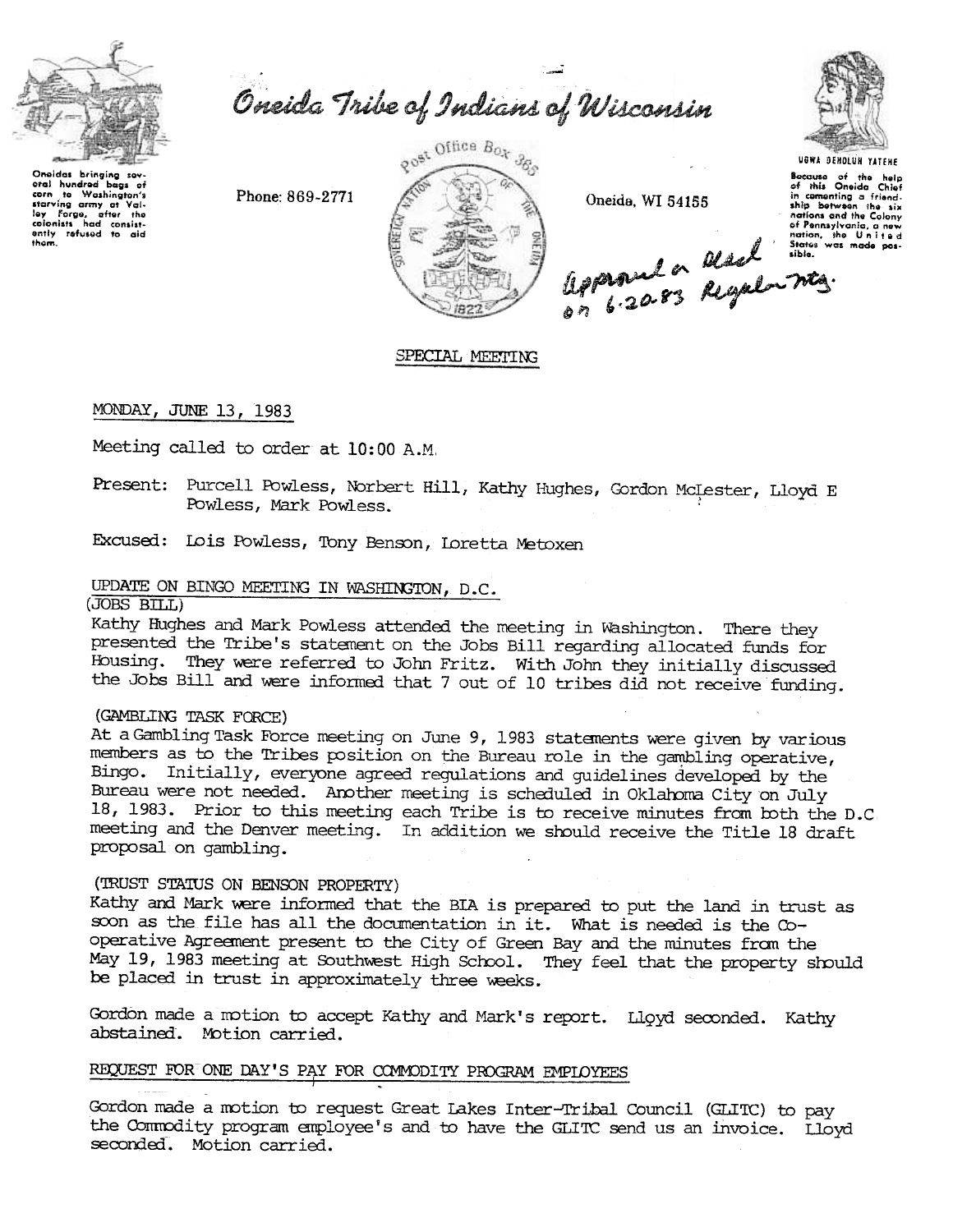

them.

Oneida Tribe of Indians of Wisconsin

Phone: 869-2771



Oneida, WI 54155



UGWA DEMOLUN YATENE

Because of the help<br>of this Oneida Chief in comenting a friend-<br>ship between the six Eligence 110 20.83 Regular Mes.

SPECIAL MEETING

MONDAY, JUNE 13, 1983

Meeting called to order at 10:00 A.M.

Present: Purcell Powless, Norbert Hill, Kathy Hughes, Gordon McLester, Lloyd E Powless, Mark Powless.

Excused: Lois Powless, Tony Benson, Loretta Metoxen

## UPDATE ON BINGO MEETING IN WASHINGTON, D.C.

 $(JOBS BILL)$ 

Kathy Hughes and Mark Powless attended the meeting in Washington. There they presented the Tribe's statement on the Jobs Bill regarding allocated funds for Housing. They were referred to John Fritz. With John they initially discussed the Jobs Bill and were informed that 7 out of 10 tribes did not receive funding.

# (GAMBLING TASK FORCE)

At a Gambling Task Force meeting on June 9, 1983 statements were given by various members as to the Tribes position on the Bureau role in the gambling operative, Bingo. Initially, everyone agreed regulations and guidelines developed by the Bureau were not needed. Another meeting is scheduled in Oklahoma City on July 18, 1983. Prior to this meeting each Tribe is to receive minutes from both the D.C. meeting and the Denver meeting. In addition we should receive the Title 18 draft proposal on gambling.

#### (TRUST STATUS ON BENSON PROPERTY)

Kathy and Mark were informed that the BIA is prepared to put the land in trust as soon as the file has all the documentation in it. What is needed is the Cooperative Agreement present to the City of Green Bay and the minutes from the May 19, 1983 meeting at Southwest High School. They feel that the property should be placed in trust in approximately three weeks.

Gordon made a motion to accept Kathy and Mark's report. Lloyd seconded. Kathy abstained. Motion carried.

#### REQUEST FOR ONE DAY'S PAY FOR COMMODITY PROGRAM EMPLOYEES

Gordon made a motion to request Great Lakes Inter-Tribal Council (GLITC) to pay the Commodity program employee's and to have the GLITC send us an invoice. Lloyd seconded. Motion carried.